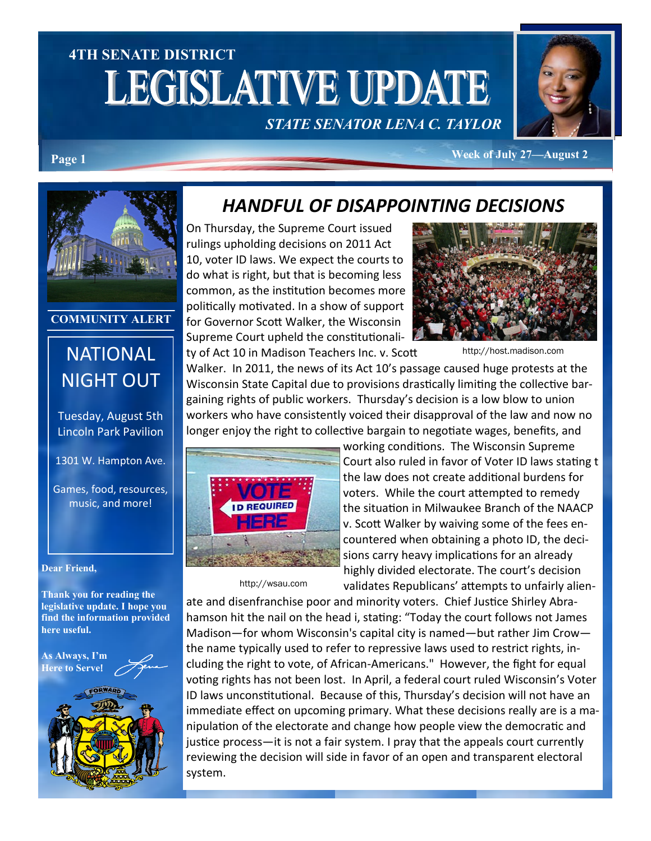# **4TH SENATE DISTRICT LEGISLATIVE UPDATE** *STATE SENATOR LENA C. TAYLOR*



**Page 1 Week of July 27—August 2** 



#### **COMMUNITY ALERT**

## **NATIONAL** NIGHT OUT

Tuesday, August 5th Lincoln Park Pavilion

1301 W. Hampton Ave.

Games, food, resources, music, and more!

**Dear Friend,**

**Thank you for reading the legislative update. I hope you find the information provided here useful.**

**As Always, I'm Here to Serve**!



#### *HANDFUL OF DISAPPOINTING DECISIONS*

On Thursday, the Supreme Court issued rulings upholding decisions on 2011 Act 10, voter ID laws. We expect the courts to do what is right, but that is becoming less common, as the institution becomes more politically motivated. In a show of support for Governor Scott Walker, the Wisconsin Supreme Court upheld the constitutionality of Act 10 in Madison Teachers Inc. v. Scott



http://host.madison.com

Walker. In 2011, the news of its Act 10's passage caused huge protests at the Wisconsin State Capital due to provisions drastically limiting the collective bargaining rights of public workers. Thursday's decision is a low blow to union workers who have consistently voiced their disapproval of the law and now no longer enjoy the right to collective bargain to negotiate wages, benefits, and



http://wsau.com

working conditions. The Wisconsin Supreme Court also ruled in favor of Voter ID laws stating t the law does not create additional burdens for voters. While the court attempted to remedy the situation in Milwaukee Branch of the NAACP v. Scott Walker by waiving some of the fees encountered when obtaining a photo ID, the decisions carry heavy implications for an already highly divided electorate. The court's decision validates Republicans' attempts to unfairly alien-

ate and disenfranchise poor and minority voters. Chief Justice Shirley Abrahamson hit the nail on the head i, stating: "Today the court follows not James Madison—for whom Wisconsin's capital city is named—but rather Jim Crow the name typically used to refer to repressive laws used to restrict rights, including the right to vote, of African-Americans." However, the fight for equal voting rights has not been lost. In April, a federal court ruled Wisconsin's Voter ID laws unconstitutional. Because of this, Thursday's decision will not have an immediate effect on upcoming primary. What these decisions really are is a manipulation of the electorate and change how people view the democratic and justice process—it is not a fair system. I pray that the appeals court currently reviewing the decision will side in favor of an open and transparent electoral system.